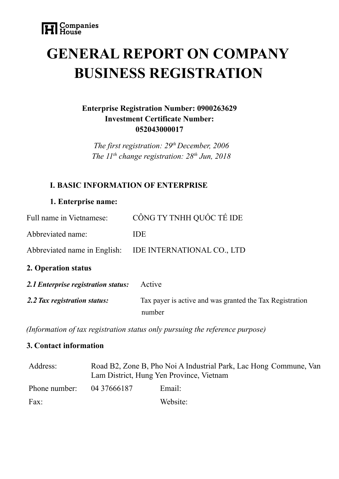# **GENERAL REPORT ON COMPANY BUSINESS REGISTRATION**

# **Enterprise Registration Number: 0900263629 Investment Certificate Number: 052043000017**

*The first registration: 29 th December, 2006 The 11 th change registration: 28 th Jun, 2018*

## **I. BASIC INFORMATION OF ENTERPRISE**

#### **1. Enterprise name:**

| Full name in Vietnamese:            | CÔNG TY TNHH QUỐC TẾ IDE                                           |
|-------------------------------------|--------------------------------------------------------------------|
| Abbreviated name:                   | <b>IDE</b>                                                         |
| Abbreviated name in English:        | IDE INTERNATIONAL CO., LTD                                         |
| 2. Operation status                 |                                                                    |
| 2.1 Enterprise registration status: | Active                                                             |
| 2.2 Tax registration status:        | Tax payer is active and was granted the Tax Registration<br>number |

*(Information of tax registration status only pursuing the reference purpose)*

### **3. Contact information**

| Address:      | Road B2, Zone B, Pho Noi A Industrial Park, Lac Hong Commune, Van<br>Lam District, Hung Yen Province, Vietnam |          |  |
|---------------|---------------------------------------------------------------------------------------------------------------|----------|--|
| Phone number: | 04 37666187                                                                                                   | Email:   |  |
| Fax:          |                                                                                                               | Website: |  |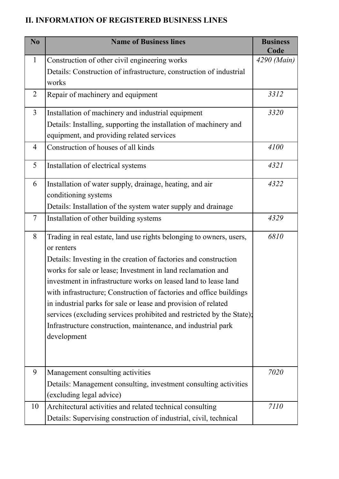# **II. INFORMATION OF REGISTERED BUSINESS LINES**

| N <sub>0</sub> | <b>Name of Business lines</b>                                         | <b>Business</b><br>Code |
|----------------|-----------------------------------------------------------------------|-------------------------|
| $\mathbf{1}$   | Construction of other civil engineering works                         | 4290 (Main)             |
|                | Details: Construction of infrastructure, construction of industrial   |                         |
|                | works                                                                 |                         |
| $\overline{2}$ | Repair of machinery and equipment                                     | 3312                    |
| $\overline{3}$ | Installation of machinery and industrial equipment                    | 3320                    |
|                | Details: Installing, supporting the installation of machinery and     |                         |
|                | equipment, and providing related services                             |                         |
| $\overline{4}$ | Construction of houses of all kinds                                   | 4100                    |
| 5              | Installation of electrical systems                                    | 4321                    |
| 6              | Installation of water supply, drainage, heating, and air              | 4322                    |
|                | conditioning systems                                                  |                         |
|                | Details: Installation of the system water supply and drainage         |                         |
| $\overline{7}$ | Installation of other building systems                                | 4329                    |
| 8              | Trading in real estate, land use rights belonging to owners, users,   | 6810                    |
|                | or renters                                                            |                         |
|                | Details: Investing in the creation of factories and construction      |                         |
|                | works for sale or lease; Investment in land reclamation and           |                         |
|                | investment in infrastructure works on leased land to lease land       |                         |
|                | with infrastructure; Construction of factories and office buildings   |                         |
|                | in industrial parks for sale or lease and provision of related        |                         |
|                | services (excluding services prohibited and restricted by the State); |                         |
|                | Infrastructure construction, maintenance, and industrial park         |                         |
|                | development                                                           |                         |
|                |                                                                       |                         |
| 9              | Management consulting activities                                      | 7020                    |
|                | Details: Management consulting, investment consulting activities      |                         |
|                | (excluding legal advice)                                              |                         |
| 10             | Architectural activities and related technical consulting             | 7110                    |
|                | Details: Supervising construction of industrial, civil, technical     |                         |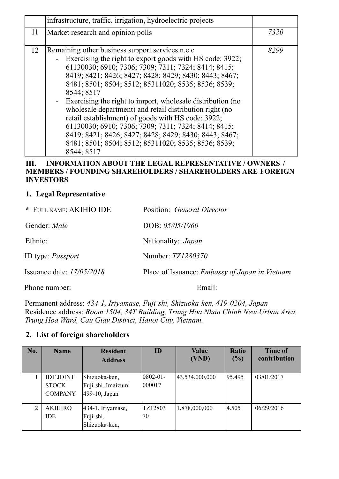|    | infrastructure, traffic, irrigation, hydroelectric projects                                                                                                                                                                                                                                                                                                                                                                                                                                                                                                                                                                                                             |      |
|----|-------------------------------------------------------------------------------------------------------------------------------------------------------------------------------------------------------------------------------------------------------------------------------------------------------------------------------------------------------------------------------------------------------------------------------------------------------------------------------------------------------------------------------------------------------------------------------------------------------------------------------------------------------------------------|------|
| 11 | Market research and opinion polls                                                                                                                                                                                                                                                                                                                                                                                                                                                                                                                                                                                                                                       | 7320 |
| 12 | Remaining other business support services n.e.c.<br>Exercising the right to export goods with HS code: 3922;<br>61130030; 6910; 7306; 7309; 7311; 7324; 8414; 8415;<br>8419; 8421; 8426; 8427; 8428; 8429; 8430; 8443; 8467;<br>8481; 8501; 8504; 8512; 85311020; 8535; 8536; 8539;<br>8544; 8517<br>- Exercising the right to import, wholesale distribution (no<br>wholesale department) and retail distribution right (no<br>retail establishment) of goods with HS code: 3922;<br>61130030; 6910; 7306; 7309; 7311; 7324; 8414; 8415;<br>8419; 8421; 8426; 8427; 8428; 8429; 8430; 8443; 8467;<br>8481; 8501; 8504; 8512; 85311020; 8535; 8536; 8539;<br>8544; 8517 | 8299 |

#### **III. INFORMATION ABOUT THE LEGAL REPRESENTATIVE / OWNERS / MEMBERS / FOUNDING SHAREHOLDERS / SHAREHOLDERS ARE FOREIGN INVESTORS**

#### **1. Legal Representative**

| * FULL NAME: AKIHIO IDE     | Position: General Director                            |
|-----------------------------|-------------------------------------------------------|
| Gender: Male                | DOB: $05/05/1960$                                     |
| Ethnic:                     | Nationality: <i>Japan</i>                             |
| ID type: <i>Passport</i>    | Number: <i>TZ1280370</i>                              |
| Issuance date: $17/05/2018$ | Place of Issuance: <i>Embassy of Japan in Vietnam</i> |
| Phone number:               | Email:                                                |

Permanent address: *434-1, Iriyamase, Fuji-shi, Shizuoka-ken, 419-0204, Japan* Residence address: *Room 1504, 34T Building, Trung Hoa Nhan Chinh New Urban Area, Trung Hoa Ward, Cau Giay District, Hanoi City, Vietnam.*

#### **2. List of foreign shareholders**

| No. | <b>Name</b>                                        | <b>Resident</b><br><b>Address</b>                    | ID                       | <b>Value</b><br>(VND) | <b>Ratio</b><br>$(\%)$ | <b>Time of</b><br>contribution |
|-----|----------------------------------------------------|------------------------------------------------------|--------------------------|-----------------------|------------------------|--------------------------------|
|     | <b>IDT JOINT</b><br><b>STOCK</b><br><b>COMPANY</b> | Shizuoka-ken,<br>Fuji-shi, Imaizumi<br>499-10, Japan | $ 0802 - 01 -$<br>000017 | 43,534,000,000        | 95.495                 | 03/01/2017                     |
| 2   | <b>AKIHIRO</b><br><b>IDE</b>                       | $434-1$ , Iriyamase,<br>Fuji-shi,<br>Shizuoka-ken,   | TZ12803<br>70            | 1,878,000,000         | 4.505                  | 06/29/2016                     |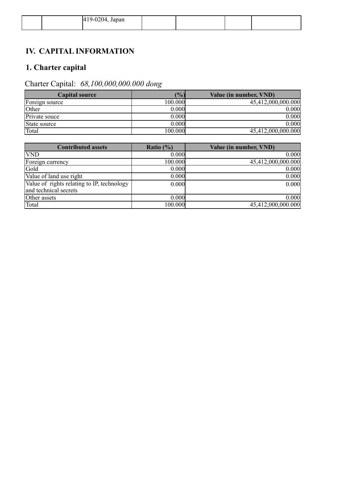|  | $\gamma$ 04, Japan<br>$\overline{\Delta}$<br>$T12-020$<br>$\overline{\phantom{a}}$ |  |  |
|--|------------------------------------------------------------------------------------|--|--|
|  |                                                                                    |  |  |

# **IV. CAPITAL INFORMATION**

# **1. Charter capital**

# Charter Capital: *68,100,000,000.000 dong*

| <b>Capital source</b> | (%)     | Value (in number, VND) |
|-----------------------|---------|------------------------|
| Foreign source        | 100.000 | 45,412,000,000.000     |
| <b>Other</b>          | 0.000   | 0.000                  |
| Private souce         | 0.000   | 0.000                  |
| State source          | 0.000   | $0.000\,$              |
| Total                 | 100.000 | 45,412,000,000.000     |

| <b>Contributed assets</b>                  | Ratio $(\% )$ | Value (in number, VND) |
|--------------------------------------------|---------------|------------------------|
| <b>VND</b>                                 | 0.000         | 0.000                  |
| Foreign currency                           | 100.000       | 45,412,000,000.000     |
| Gold                                       | 0.000         | 0.000                  |
| Value of land use right                    | 0.000         | 0.000                  |
| Value of rights relating to IP, technology | 0.000         | 0.000                  |
| and technical secrets                      |               |                        |
| Other assets                               | 0.000         | 0.000                  |
| Total                                      | 100.000       | 45,412,000,000.000     |